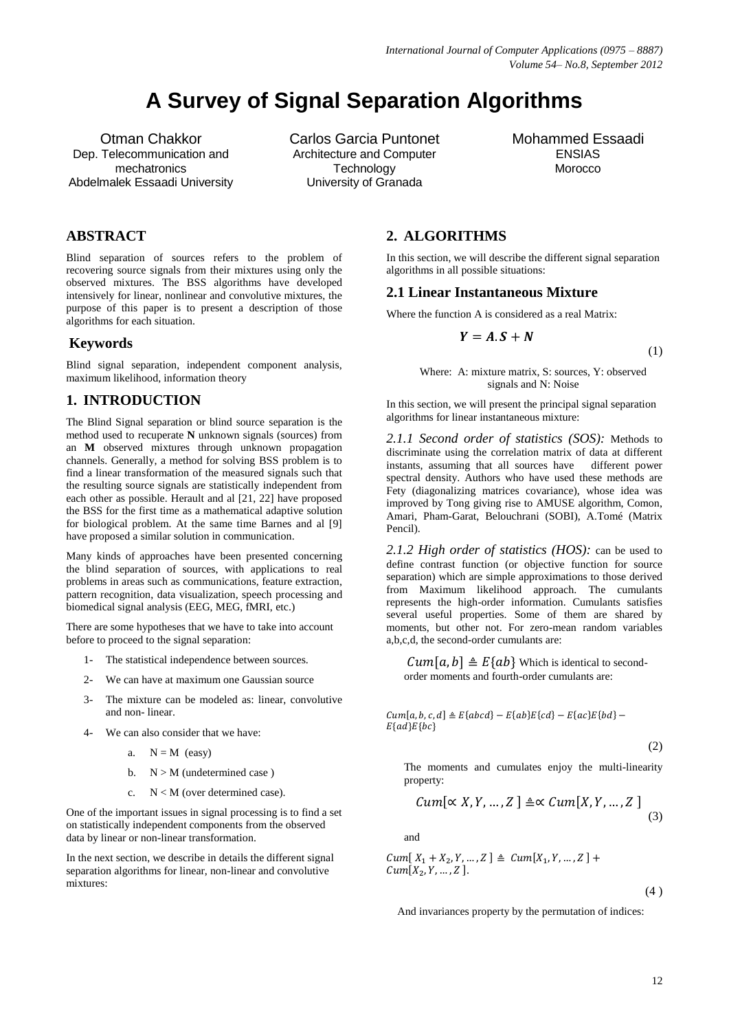# **A Survey of Signal Separation Algorithms**

Otman Chakkor Dep. Telecommunication and mechatronics Abdelmalek Essaadi University Carlos Garcia Puntonet Architecture and Computer **Technology** University of Granada

# Mohammed Essaadi ENSIAS Morocco

# **ABSTRACT**

Blind separation of sources refers to the problem of recovering source signals from their mixtures using only the observed mixtures. The BSS algorithms have developed intensively for linear, nonlinear and convolutive mixtures, the purpose of this paper is to present a description of those algorithms for each situation.

#### **Keywords**

Blind signal separation, independent component analysis, maximum likelihood, information theory

# **1. INTRODUCTION**

The Blind Signal separation or blind source separation is the method used to recuperate **N** unknown signals (sources) from an **M** observed mixtures through unknown propagation channels. Generally, a method for solving BSS problem is to find a linear transformation of the measured signals such that the resulting source signals are statistically independent from each other as possible. Herault and al [21, 22] have proposed the BSS for the first time as a mathematical adaptive solution for biological problem. At the same time Barnes and al [9] have proposed a similar solution in communication.

Many kinds of approaches have been presented concerning the blind separation of sources, with applications to real problems in areas such as communications, feature extraction, pattern recognition, data visualization, speech processing and biomedical signal analysis (EEG, MEG, fMRI, etc.)

There are some hypotheses that we have to take into account before to proceed to the signal separation:

- 1- The statistical independence between sources.
- 2- We can have at maximum one Gaussian source
- 3- The mixture can be modeled as: linear, convolutive and non- linear.
- 4- We can also consider that we have:
	- a.  $N = M$  (easy)
	- b.  $N > M$  (undetermined case)
	- c. N < M (over determined case).

One of the important issues in signal processing is to find a set on statistically independent components from the observed data by linear or non-linear transformation.

In the next section, we describe in details the different signal separation algorithms for linear, non-linear and convolutive mixtures:

**2. ALGORITHMS**

In this section, we will describe the different signal separation algorithms in all possible situations:

## **2.1 Linear Instantaneous Mixture**

Where the function A is considered as a real Matrix:

$$
Y=A.S+N
$$

(1)

Where: A: mixture matrix, S: sources, Y: observed signals and N: Noise

In this section, we will present the principal signal separation algorithms for linear instantaneous mixture:

*2.1.1 Second order of statistics (SOS):* Methods to discriminate using the correlation matrix of data at different instants, assuming that all sources have different power spectral density. Authors who have used these methods are Fety (diagonalizing matrices covariance), whose idea was improved by Tong giving rise to AMUSE algorithm, Comon, Amari, Pham-Garat, Belouchrani (SOBI), A.Tomé (Matrix Pencil).

*2.1.2 High order of statistics (HOS):* can be used to define contrast function (or objective function for source separation) which are simple approximations to those derived from Maximum likelihood approach. The cumulants represents the high-order information. Cumulants satisfies several useful properties. Some of them are shared by moments, but other not. For zero-mean random variables a,b,c,d, the second-order cumulants are:

 $Cum[a, b] \triangleq E\{ab\}$  Which is identical to secondorder moments and fourth-order cumulants are:

 $Cum[a, b, c, d] \triangleq E\{abcd\} - E\{ab\}E\{cd\} - E\{ac\}E\{bd\} E\{ad\}E\{bc\}$ 

(2)

The moments and cumulates enjoy the multi-linearity property:

$$
Cum[\propto X, Y, \dots, Z] \triangleq \propto Cum[X, Y, \dots, Z]
$$
\n(3)

and

 $Cum[X_1 + X_2, Y, ..., Z] \triangleq Cum[X_1, Y, ..., Z] +$  $Cum[X_2, Y, ..., Z]$ .

 $(4)$ 

And invariances property by the permutation of indices: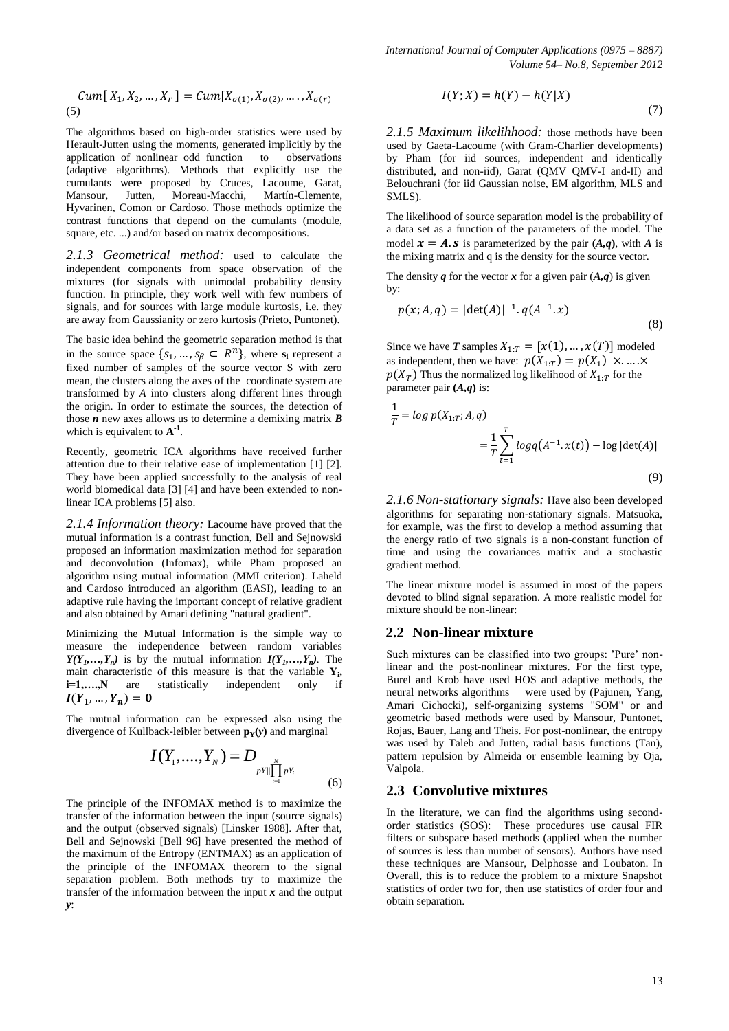$$
Cum[X_1, X_2, ..., X_r] = Cum[X_{\sigma(1)}, X_{\sigma(2)}, ..., X_{\sigma(r)}
$$
\n(5)

The algorithms based on high-order statistics were used by Herault-Jutten using the moments, generated implicitly by the application of nonlinear odd function to observations (adaptive algorithms). Methods that explicitly use the cumulants were proposed by Cruces, Lacoume, Garat, Mansour, Jutten, Moreau-Macchi, Martín-Clemente, Hyvarinen, Comon or Cardoso. Those methods optimize the contrast functions that depend on the cumulants (module, square, etc. ...) and/or based on matrix decompositions.

*2.1.3 Geometrical method:* used to calculate the independent components from space observation of the mixtures (for signals with unimodal probability density function. In principle, they work well with few numbers of signals, and for sources with large module kurtosis, i.e. they are away from Gaussianity or zero kurtosis (Prieto, Puntonet).

The basic idea behind the geometric separation method is that in the source space  $\{s_1, ..., s_\beta \subset R^n\}$ , where  $s_i$  represent a fixed number of samples of the source vector S with zero mean, the clusters along the axes of the coordinate system are transformed by *A* into clusters along different lines through the origin. In order to estimate the sources, the detection of those *n* new axes allows us to determine a demixing matrix *B* which is equivalent to  $A^{-1}$ .

Recently, geometric ICA algorithms have received further attention due to their relative ease of implementation [1] [2]. They have been applied successfully to the analysis of real world biomedical data [3] [4] and have been extended to nonlinear ICA problems [5] also.

*2.1.4 Information theory:* Lacoume have proved that the mutual information is a contrast function, Bell and Sejnowski proposed an information maximization method for separation and deconvolution (Infomax), while Pham proposed an algorithm using mutual information (MMI criterion). Laheld and Cardoso introduced an algorithm (EASI), leading to an adaptive rule having the important concept of relative gradient and also obtained by Amari defining "natural gradient".

Minimizing the Mutual Information is the simple way to measure the independence between random variables *Y*(*Y*<sub>*I*</sub>,…,*Y*<sub>*n*</sub>)</sub> is by the mutual information *I*(*Y*<sub>*I*</sub>,…,*Y*<sub>*n*</sub>). The main characteristic of this measure is that the variable  $Y_i$ , **i=1,….,N** are statistically independent only if  $I(Y_1, ..., Y_n)$ 

The mutual information can be expressed also using the divergence of Kullback-leibler between  $\mathbf{p}_v(\mathbf{v})$  and marginal

$$
I(Y_1, ..., Y_N) = D_{pY||\prod_{i=1}^N pY_i}
$$
\n(6)

The principle of the INFOMAX method is to maximize the transfer of the information between the input (source signals) and the output (observed signals) [Linsker 1988]. After that, Bell and Sejnowski [Bell 96] have presented the method of the maximum of the Entropy (ENTMAX) as an application of the principle of the INFOMAX theorem to the signal separation problem. Both methods try to maximize the transfer of the information between the input *x* and the output *y*:

$$
I(Y;X) = h(Y) - h(Y|X)
$$
\n(7)

*2.1.5 Maximum likelihhood:* those methods have been used by Gaeta-Lacoume (with Gram-Charlier developments) by Pham (for iid sources, independent and identically distributed, and non-iid), Garat (QMV QMV-I and-II) and Belouchrani (for iid Gaussian noise, EM algorithm, MLS and SMLS).

The likelihood of source separation model is the probability of a data set as a function of the parameters of the model. The model  $x = A$ . **s** is parameterized by the pair  $(A,q)$ , with *A* is the mixing matrix and q is the density for the source vector.

The density  $q$  for the vector  $x$  for a given pair  $(A,q)$  is given by:

$$
p(x; A, q) = |\det(A)|^{-1} . q(A^{-1} . x)
$$
\n(8)

Since we have *T* samples  $X_{1:T} = [x(1), ..., x(T)]$  modeled as independent, then we have:  $p(X_{1:T}) = p(X_1)$  $p(X_T)$  Thus the normalized log likelihood of  $X_{1:T}$  for the parameter pair **(***A,q***)** is:

$$
\frac{1}{T} = \log p(X_{1:T}; A, q)
$$
  
= 
$$
\frac{1}{T} \sum_{t=1}^{T} \log q(A^{-1} \cdot x(t)) - \log |\det(A)|
$$
(9)

*2.1.6 Non-stationary signals:* Have also been developed algorithms for separating non-stationary signals. Matsuoka, for example, was the first to develop a method assuming that the energy ratio of two signals is a non-constant function of time and using the covariances matrix and a stochastic gradient method.

The linear mixture model is assumed in most of the papers devoted to blind signal separation. A more realistic model for mixture should be non-linear:

#### **2.2 Non-linear mixture**

Such mixtures can be classified into two groups: 'Pure' nonlinear and the post-nonlinear mixtures. For the first type, Burel and Krob have used HOS and adaptive methods, the neural networks algorithms were used by (Pajunen, Yang, Amari Cichocki), self-organizing systems "SOM" or and geometric based methods were used by Mansour, Puntonet, Rojas, Bauer, Lang and Theis. For post-nonlinear, the entropy was used by Taleb and Jutten, radial basis functions (Tan), pattern repulsion by Almeida or ensemble learning by Oja, Valpola.

# **2.3 Convolutive mixtures**

In the literature, we can find the algorithms using secondorder statistics (SOS): These procedures use causal FIR filters or subspace based methods (applied when the number of sources is less than number of sensors). Authors have used these techniques are Mansour, Delphosse and Loubaton. In Overall, this is to reduce the problem to a mixture Snapshot statistics of order two for, then use statistics of order four and obtain separation.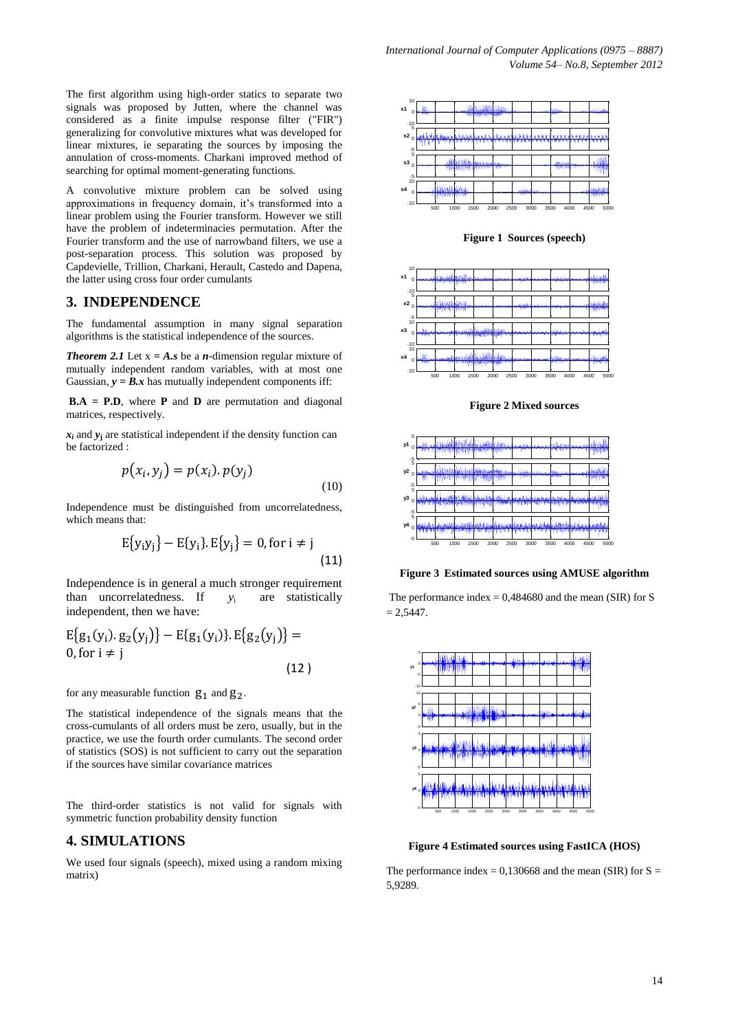The first algorithm using high-order statics to separate two signals was proposed by Jutten, where the channel was considered as a finite impulse response filter ("FIR") generalizing for convolutive mixtures what was developed for linear mixtures, ie separating the sources by imposing the annulation of cross-moments. Charkani improved method of searching for optimal moment-generating functions.

A convolutive mixture problem can be solved using approximations in frequency domain, it's transformed into a linear problem using the Fourier transform. However we still have the problem of indeterminacies permutation. After the Fourier transform and the use of narrowband filters, we use a post-separation process. This solution was proposed by Capdevielle, Trillion, Charkani, Herault, Castedo and Dapena, the latter using cross four order cumulants

## **3. INDEPENDENCE**

The fundamental assumption in many signal separation algorithms is the statistical independence of the sources.

**Theorem 2.1** Let  $x = A$ . **s** be a *n*-dimension regular mixture of mutually independent random variables, with at most one Gaussian,  $y = B.x$  has mutually independent components iff:

**B.A = P.D**, where **P** and **D** are permutation and diagonal matrices, respectively.

 $x_i$  and  $y_j$  are statistical independent if the density function can be factorized :

$$
p(x_i, y_j) = p(x_i) \cdot p(y_j)
$$
\n(10)

Independence must be distinguished from uncorrelatedness, which means that:

$$
E{y_iy_j} - E{y_i}.E{y_j} = 0, \text{ for } i \neq j
$$
\n(11)

Independence is in general a much stronger requirement than uncorrelatedness. If  $y_i$  are statistically independent, then we have:

$$
E\{g_1(y_i). g_2(y_j)\} - E\{g_1(y_i). E\{g_2(y_j)\} = 0, \text{for } i \neq j
$$
\n(12)

for any measurable function  $g_1$  and  $g_2$ .

The statistical independence of the signals means that the cross-cumulants of all orders must be zero, usually, but in the practice, we use the fourth order cumulants. The second order of statistics (SOS) is not sufficient to carry out the separation if the sources have similar covariance matrices

The third-order statistics is not valid for signals with symmetric function probability density function

## **4. SIMULATIONS**

We used four signals (speech), mixed using a random mixing matrix)



**Figure 1 Sources (speech)**



**Figure 2 Mixed sources**



**Figure 3 Estimated sources using AMUSE algorithm**

The performance index  $= 0.484680$  and the mean (SIR) for S  $= 2.5447.$ 



**Figure 4 Estimated sources using FastICA (HOS)**

The performance index =  $0,130668$  and the mean (SIR) for S = 5,9289.